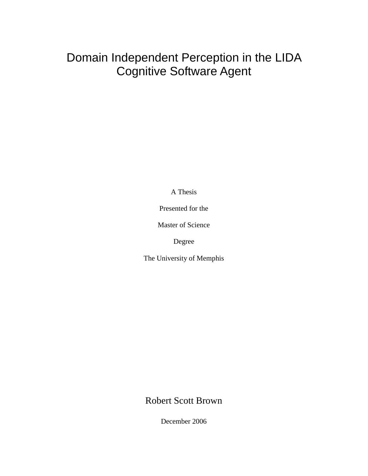# Domain Independent Perception in the LIDA Cognitive Software Agent

A Thesis

Presented for the

Master of Science

Degree

The University of Memphis

Robert Scott Brown

December 2006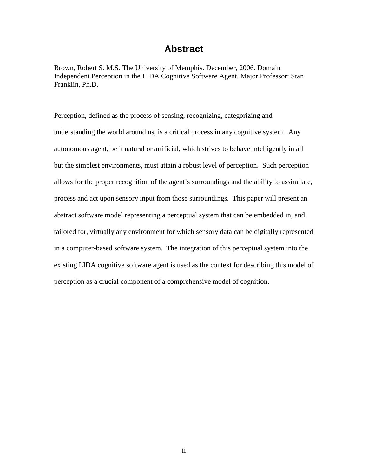## **Abstract**

Brown, Robert S. M.S. The University of Memphis. December, 2006. Domain Independent Perception in the LIDA Cognitive Software Agent. Major Professor: Stan Franklin, Ph.D.

Perception, defined as the process of sensing, recognizing, categorizing and understanding the world around us, is a critical process in any cognitive system. Any autonomous agent, be it natural or artificial, which strives to behave intelligently in all but the simplest environments, must attain a robust level of perception. Such perception allows for the proper recognition of the agent's surroundings and the ability to assimilate, process and act upon sensory input from those surroundings. This paper will present an abstract software model representing a perceptual system that can be embedded in, and tailored for, virtually any environment for which sensory data can be digitally represented in a computer-based software system. The integration of this perceptual system into the existing LIDA cognitive software agent is used as the context for describing this model of perception as a crucial component of a comprehensive model of cognition.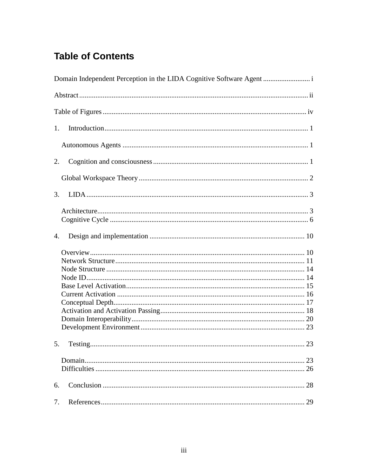# **Table of Contents**

| 1.       |
|----------|
|          |
| 2.       |
|          |
| 3.       |
|          |
| 4.       |
|          |
| 23       |
|          |
| 6.       |
| 7.<br>29 |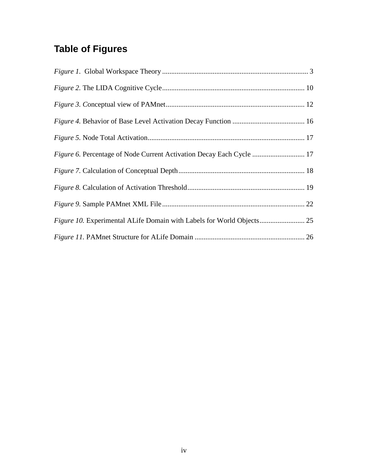# **Table of Figures**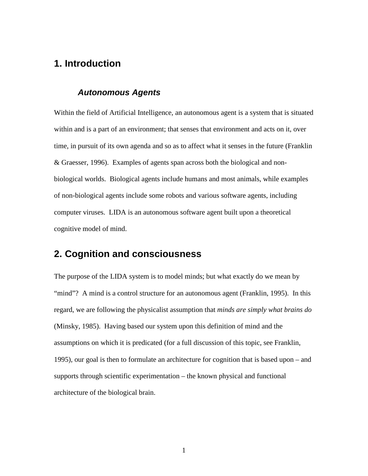## **1. Introduction**

#### **Autonomous Agents**

Within the field of Artificial Intelligence, an autonomous agent is a system that is situated within and is a part of an environment; that senses that environment and acts on it, over time, in pursuit of its own agenda and so as to affect what it senses in the future (Franklin & Graesser, 1996). Examples of agents span across both the biological and nonbiological worlds. Biological agents include humans and most animals, while examples of non-biological agents include some robots and various software agents, including computer viruses. LIDA is an autonomous software agent built upon a theoretical cognitive model of mind.

## **2. Cognition and consciousness**

The purpose of the LIDA system is to model minds; but what exactly do we mean by "mind"? A mind is a control structure for an autonomous agent (Franklin, 1995). In this regard, we are following the physicalist assumption that *minds are simply what brains do*  (Minsky, 1985). Having based our system upon this definition of mind and the assumptions on which it is predicated (for a full discussion of this topic, see Franklin, 1995), our goal is then to formulate an architecture for cognition that is based upon – and supports through scientific experimentation – the known physical and functional architecture of the biological brain.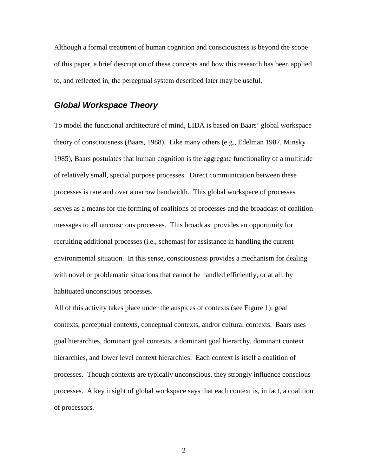Although a formal treatment of human cognition and consciousness is beyond the scope of this paper, a brief description of these concepts and how this research has been applied to, and reflected in, the perceptual system described later may be useful.

#### **Global Workspace Theory**

To model the functional architecture of mind, LIDA is based on Baars' global workspace theory of consciousness (Baars, 1988). Like many others (e.g., Edelman 1987, Minsky 1985), Baars postulates that human cognition is the aggregate functionality of a multitude of relatively small, special purpose processes. Direct communication between these processes is rare and over a narrow bandwidth. This global workspace of processes serves as a means for the forming of coalitions of processes and the broadcast of coalition messages to all unconscious processes. This broadcast provides an opportunity for recruiting additional processes (i.e., schemas) for assistance in handling the current environmental situation. In this sense, consciousness provides a mechanism for dealing with novel or problematic situations that cannot be handled efficiently, or at all, by habituated unconscious processes.

All of this activity takes place under the auspices of contexts (see Figure 1): goal contexts, perceptual contexts, conceptual contexts, and/or cultural contexts. Baars uses goal hierarchies, dominant goal contexts, a dominant goal hierarchy, dominant context hierarchies, and lower level context hierarchies. Each context is itself a coalition of processes. Though contexts are typically unconscious, they strongly influence conscious processes. A key insight of global workspace says that each context is, in fact, a coalition of processors.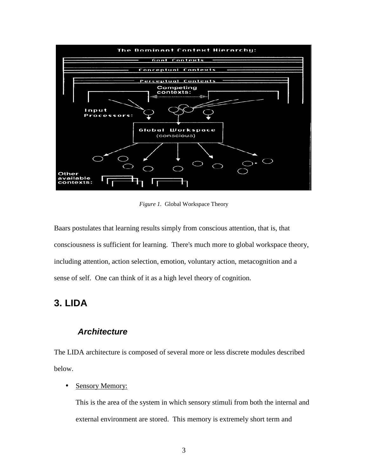

*Figure 1.* Global Workspace Theory

Baars postulates that learning results simply from conscious attention, that is, that consciousness is sufficient for learning. There's much more to global workspace theory, including attention, action selection, emotion, voluntary action, metacognition and a sense of self. One can think of it as a high level theory of cognition.

## **3. LIDA**

### **Architecture**

The LIDA architecture is composed of several more or less discrete modules described below.

#### • Sensory Memory:

This is the area of the system in which sensory stimuli from both the internal and external environment are stored. This memory is extremely short term and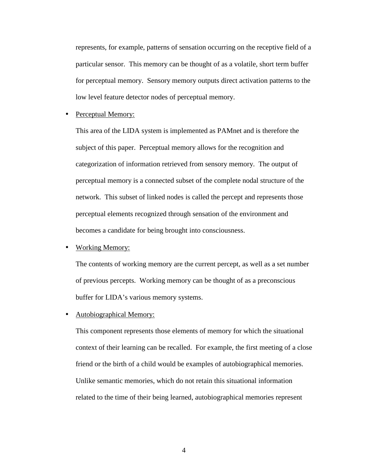represents, for example, patterns of sensation occurring on the receptive field of a particular sensor. This memory can be thought of as a volatile, short term buffer for perceptual memory. Sensory memory outputs direct activation patterns to the low level feature detector nodes of perceptual memory.

• Perceptual Memory:

This area of the LIDA system is implemented as PAMnet and is therefore the subject of this paper. Perceptual memory allows for the recognition and categorization of information retrieved from sensory memory. The output of perceptual memory is a connected subset of the complete nodal structure of the network. This subset of linked nodes is called the percept and represents those perceptual elements recognized through sensation of the environment and becomes a candidate for being brought into consciousness.

• Working Memory:

The contents of working memory are the current percept, as well as a set number of previous percepts. Working memory can be thought of as a preconscious buffer for LIDA's various memory systems.

• Autobiographical Memory:

This component represents those elements of memory for which the situational context of their learning can be recalled. For example, the first meeting of a close friend or the birth of a child would be examples of autobiographical memories. Unlike semantic memories, which do not retain this situational information related to the time of their being learned, autobiographical memories represent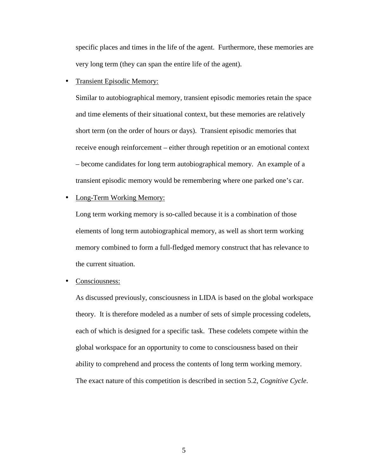specific places and times in the life of the agent. Furthermore, these memories are very long term (they can span the entire life of the agent).

• Transient Episodic Memory:

Similar to autobiographical memory, transient episodic memories retain the space and time elements of their situational context, but these memories are relatively short term (on the order of hours or days). Transient episodic memories that receive enough reinforcement – either through repetition or an emotional context – become candidates for long term autobiographical memory. An example of a transient episodic memory would be remembering where one parked one's car.

• Long-Term Working Memory:

Long term working memory is so-called because it is a combination of those elements of long term autobiographical memory, as well as short term working memory combined to form a full-fledged memory construct that has relevance to the current situation.

Consciousness:

As discussed previously, consciousness in LIDA is based on the global workspace theory. It is therefore modeled as a number of sets of simple processing codelets, each of which is designed for a specific task. These codelets compete within the global workspace for an opportunity to come to consciousness based on their ability to comprehend and process the contents of long term working memory. The exact nature of this competition is described in section 5.2, *Cognitive Cycle*.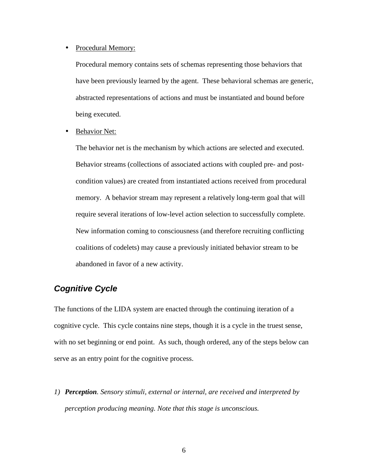#### • Procedural Memory:

Procedural memory contains sets of schemas representing those behaviors that have been previously learned by the agent. These behavioral schemas are generic, abstracted representations of actions and must be instantiated and bound before being executed.

**Behavior Net:** 

The behavior net is the mechanism by which actions are selected and executed. Behavior streams (collections of associated actions with coupled pre- and postcondition values) are created from instantiated actions received from procedural memory. A behavior stream may represent a relatively long-term goal that will require several iterations of low-level action selection to successfully complete. New information coming to consciousness (and therefore recruiting conflicting coalitions of codelets) may cause a previously initiated behavior stream to be abandoned in favor of a new activity.

## **Cognitive Cycle**

The functions of the LIDA system are enacted through the continuing iteration of a cognitive cycle. This cycle contains nine steps, though it is a cycle in the truest sense, with no set beginning or end point. As such, though ordered, any of the steps below can serve as an entry point for the cognitive process.

*1) Perception. Sensory stimuli, external or internal, are received and interpreted by perception producing meaning. Note that this stage is unconscious.*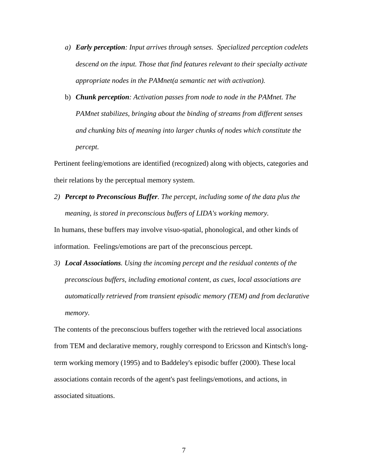- *a) Early perception: Input arrives through senses. Specialized perception codelets descend on the input. Those that find features relevant to their specialty activate appropriate nodes in the PAMnet(a semantic net with activation).*
- b) *Chunk perception: Activation passes from node to node in the PAMnet. The PAMnet stabilizes, bringing about the binding of streams from different senses and chunking bits of meaning into larger chunks of nodes which constitute the percept.*

Pertinent feeling/emotions are identified (recognized) along with objects, categories and their relations by the perceptual memory system.

*2) Percept to Preconscious Buffer. The percept, including some of the data plus the meaning, is stored in preconscious buffers of LIDA's working memory.* 

In humans, these buffers may involve visuo-spatial, phonological, and other kinds of information. Feelings/emotions are part of the preconscious percept.

*3) Local Associations. Using the incoming percept and the residual contents of the preconscious buffers, including emotional content, as cues, local associations are automatically retrieved from transient episodic memory (TEM) and from declarative memory.* 

The contents of the preconscious buffers together with the retrieved local associations from TEM and declarative memory, roughly correspond to Ericsson and Kintsch's longterm working memory (1995) and to Baddeley's episodic buffer (2000). These local associations contain records of the agent's past feelings/emotions, and actions, in associated situations.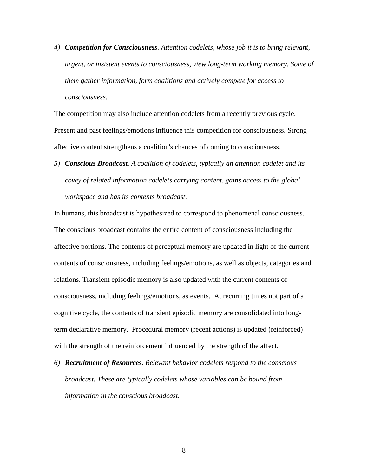*4) Competition for Consciousness. Attention codelets, whose job it is to bring relevant, urgent, or insistent events to consciousness, view long-term working memory. Some of them gather information, form coalitions and actively compete for access to consciousness.* 

The competition may also include attention codelets from a recently previous cycle. Present and past feelings/emotions influence this competition for consciousness. Strong affective content strengthens a coalition's chances of coming to consciousness.

*5) Conscious Broadcast. A coalition of codelets, typically an attention codelet and its covey of related information codelets carrying content, gains access to the global workspace and has its contents broadcast.* 

In humans, this broadcast is hypothesized to correspond to phenomenal consciousness. The conscious broadcast contains the entire content of consciousness including the affective portions. The contents of perceptual memory are updated in light of the current contents of consciousness, including feelings/emotions, as well as objects, categories and relations. Transient episodic memory is also updated with the current contents of consciousness, including feelings/emotions, as events. At recurring times not part of a cognitive cycle, the contents of transient episodic memory are consolidated into longterm declarative memory. Procedural memory (recent actions) is updated (reinforced) with the strength of the reinforcement influenced by the strength of the affect.

*6) Recruitment of Resources. Relevant behavior codelets respond to the conscious broadcast. These are typically codelets whose variables can be bound from information in the conscious broadcast.*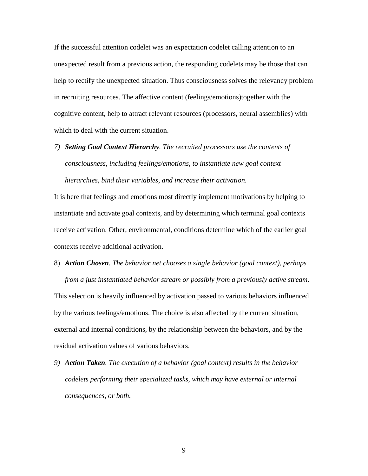If the successful attention codelet was an expectation codelet calling attention to an unexpected result from a previous action, the responding codelets may be those that can help to rectify the unexpected situation. Thus consciousness solves the relevancy problem in recruiting resources. The affective content (feelings/emotions)together with the cognitive content, help to attract relevant resources (processors, neural assemblies) with which to deal with the current situation.

*7) Setting Goal Context Hierarchy. The recruited processors use the contents of consciousness, including feelings/emotions, to instantiate new goal context hierarchies, bind their variables, and increase their activation.* 

It is here that feelings and emotions most directly implement motivations by helping to instantiate and activate goal contexts, and by determining which terminal goal contexts receive activation. Other, environmental, conditions determine which of the earlier goal contexts receive additional activation.

## 8) *Action Chosen. The behavior net chooses a single behavior (goal context), perhaps*

*from a just instantiated behavior stream or possibly from a previously active stream.* This selection is heavily influenced by activation passed to various behaviors influenced by the various feelings/emotions. The choice is also affected by the current situation, external and internal conditions, by the relationship between the behaviors, and by the residual activation values of various behaviors.

*9) Action Taken. The execution of a behavior (goal context) results in the behavior codelets performing their specialized tasks, which may have external or internal consequences, or both.*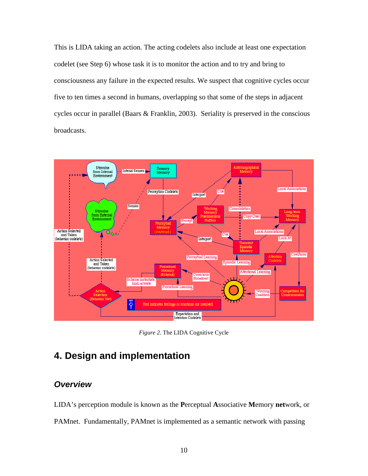This is LIDA taking an action. The acting codelets also include at least one expectation codelet (see Step 6) whose task it is to monitor the action and to try and bring to consciousness any failure in the expected results. We suspect that cognitive cycles occur five to ten times a second in humans, overlapping so that some of the steps in adjacent cycles occur in parallel (Baars & Franklin, 2003). Seriality is preserved in the conscious broadcasts.



*Figure 2.* The LIDA Cognitive Cycle

## **4. Design and implementation**

### **Overview**

LIDA's perception module is known as the **P**erceptual **A**ssociative **M**emory **net**work, or PAMnet. Fundamentally, PAMnet is implemented as a semantic network with passing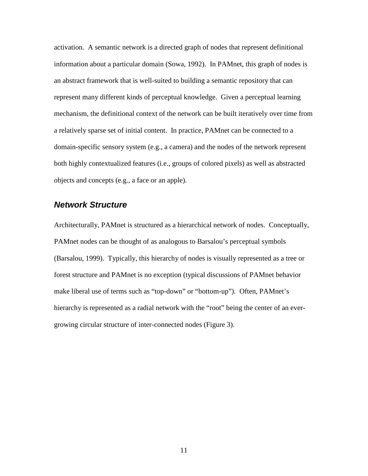activation. A semantic network is a directed graph of nodes that represent definitional information about a particular domain (Sowa, 1992). In PAMnet, this graph of nodes is an abstract framework that is well-suited to building a semantic repository that can represent many different kinds of perceptual knowledge. Given a perceptual learning mechanism, the definitional context of the network can be built iteratively over time from a relatively sparse set of initial content. In practice, PAMnet can be connected to a domain-specific sensory system (e.g., a camera) and the nodes of the network represent both highly contextualized features (i.e., groups of colored pixels) as well as abstracted objects and concepts (e.g., a face or an apple).

#### **Network Structure**

Architecturally, PAMnet is structured as a hierarchical network of nodes. Conceptually, PAMnet nodes can be thought of as analogous to Barsalou's perceptual symbols (Barsalou, 1999). Typically, this hierarchy of nodes is visually represented as a tree or forest structure and PAMnet is no exception (typical discussions of PAMnet behavior make liberal use of terms such as "top-down" or "bottom-up"). Often, PAMnet's hierarchy is represented as a radial network with the "root" being the center of an evergrowing circular structure of inter-connected nodes (Figure 3).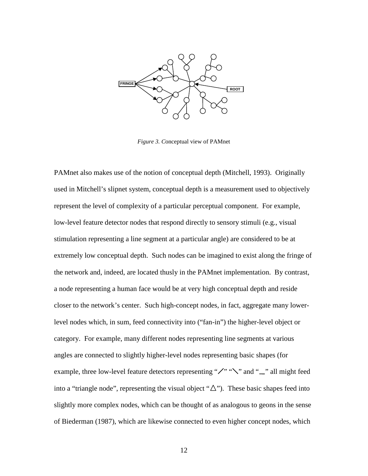

*Figure 3. C*onceptual view of PAMnet

PAMnet also makes use of the notion of conceptual depth (Mitchell, 1993). Originally used in Mitchell's slipnet system, conceptual depth is a measurement used to objectively represent the level of complexity of a particular perceptual component. For example, low-level feature detector nodes that respond directly to sensory stimuli (e.g., visual stimulation representing a line segment at a particular angle) are considered to be at extremely low conceptual depth. Such nodes can be imagined to exist along the fringe of the network and, indeed, are located thusly in the PAMnet implementation. By contrast, a node representing a human face would be at very high conceptual depth and reside closer to the network's center. Such high-concept nodes, in fact, aggregate many lowerlevel nodes which, in sum, feed connectivity into ("fan-in") the higher-level object or category. For example, many different nodes representing line segments at various angles are connected to slightly higher-level nodes representing basic shapes (for example, three low-level feature detectors representing " $\angle$ " " $\angle$ " and " $\Box$ " all might feed into a "triangle node", representing the visual object " $\Delta$ "). These basic shapes feed into slightly more complex nodes, which can be thought of as analogous to geons in the sense of Biederman (1987), which are likewise connected to even higher concept nodes, which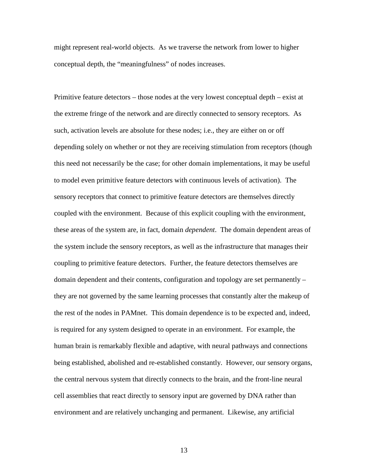might represent real-world objects. As we traverse the network from lower to higher conceptual depth, the "meaningfulness" of nodes increases.

Primitive feature detectors – those nodes at the very lowest conceptual depth – exist at the extreme fringe of the network and are directly connected to sensory receptors. As such, activation levels are absolute for these nodes; i.e., they are either on or off depending solely on whether or not they are receiving stimulation from receptors (though this need not necessarily be the case; for other domain implementations, it may be useful to model even primitive feature detectors with continuous levels of activation). The sensory receptors that connect to primitive feature detectors are themselves directly coupled with the environment. Because of this explicit coupling with the environment, these areas of the system are, in fact, domain *dependent*. The domain dependent areas of the system include the sensory receptors, as well as the infrastructure that manages their coupling to primitive feature detectors. Further, the feature detectors themselves are domain dependent and their contents, configuration and topology are set permanently – they are not governed by the same learning processes that constantly alter the makeup of the rest of the nodes in PAMnet. This domain dependence is to be expected and, indeed, is required for any system designed to operate in an environment. For example, the human brain is remarkably flexible and adaptive, with neural pathways and connections being established, abolished and re-established constantly. However, our sensory organs, the central nervous system that directly connects to the brain, and the front-line neural cell assemblies that react directly to sensory input are governed by DNA rather than environment and are relatively unchanging and permanent. Likewise, any artificial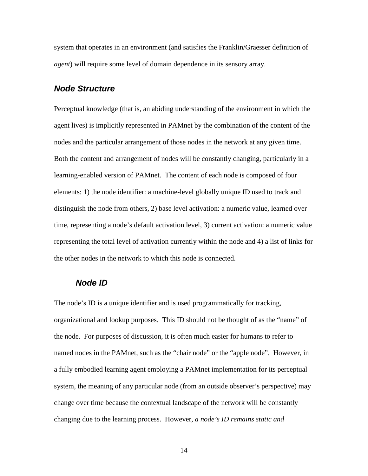system that operates in an environment (and satisfies the Franklin/Graesser definition of *agent*) will require some level of domain dependence in its sensory array.

#### **Node Structure**

Perceptual knowledge (that is, an abiding understanding of the environment in which the agent lives) is implicitly represented in PAMnet by the combination of the content of the nodes and the particular arrangement of those nodes in the network at any given time. Both the content and arrangement of nodes will be constantly changing, particularly in a learning-enabled version of PAMnet. The content of each node is composed of four elements: 1) the node identifier: a machine-level globally unique ID used to track and distinguish the node from others, 2) base level activation: a numeric value, learned over time, representing a node's default activation level, 3) current activation: a numeric value representing the total level of activation currently within the node and 4) a list of links for the other nodes in the network to which this node is connected.

#### **Node ID**

The node's ID is a unique identifier and is used programmatically for tracking, organizational and lookup purposes. This ID should not be thought of as the "name" of the node. For purposes of discussion, it is often much easier for humans to refer to named nodes in the PAMnet, such as the "chair node" or the "apple node". However, in a fully embodied learning agent employing a PAMnet implementation for its perceptual system, the meaning of any particular node (from an outside observer's perspective) may change over time because the contextual landscape of the network will be constantly changing due to the learning process. However, *a node's ID remains static and*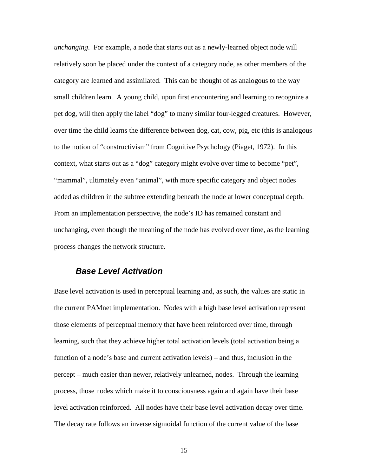*unchanging*. For example, a node that starts out as a newly-learned object node will relatively soon be placed under the context of a category node, as other members of the category are learned and assimilated. This can be thought of as analogous to the way small children learn. A young child, upon first encountering and learning to recognize a pet dog, will then apply the label "dog" to many similar four-legged creatures. However, over time the child learns the difference between dog, cat, cow, pig, etc (this is analogous to the notion of "constructivism" from Cognitive Psychology (Piaget, 1972). In this context, what starts out as a "dog" category might evolve over time to become "pet", "mammal", ultimately even "animal", with more specific category and object nodes added as children in the subtree extending beneath the node at lower conceptual depth. From an implementation perspective, the node's ID has remained constant and unchanging, even though the meaning of the node has evolved over time, as the learning process changes the network structure.

#### **Base Level Activation**

Base level activation is used in perceptual learning and, as such, the values are static in the current PAMnet implementation. Nodes with a high base level activation represent those elements of perceptual memory that have been reinforced over time, through learning, such that they achieve higher total activation levels (total activation being a function of a node's base and current activation levels) – and thus, inclusion in the percept – much easier than newer, relatively unlearned, nodes. Through the learning process, those nodes which make it to consciousness again and again have their base level activation reinforced. All nodes have their base level activation decay over time. The decay rate follows an inverse sigmoidal function of the current value of the base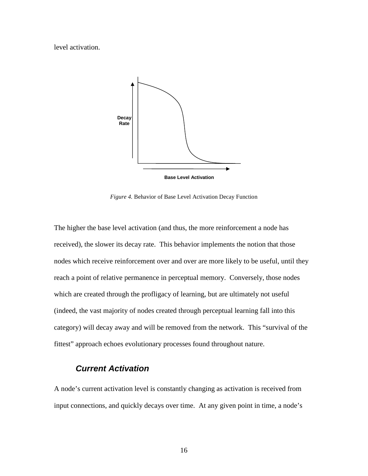level activation.



*Figure 4.* Behavior of Base Level Activation Decay Function

The higher the base level activation (and thus, the more reinforcement a node has received), the slower its decay rate. This behavior implements the notion that those nodes which receive reinforcement over and over are more likely to be useful, until they reach a point of relative permanence in perceptual memory. Conversely, those nodes which are created through the profligacy of learning, but are ultimately not useful (indeed, the vast majority of nodes created through perceptual learning fall into this category) will decay away and will be removed from the network. This "survival of the fittest" approach echoes evolutionary processes found throughout nature.

#### **Current Activation**

A node's current activation level is constantly changing as activation is received from input connections, and quickly decays over time. At any given point in time, a node's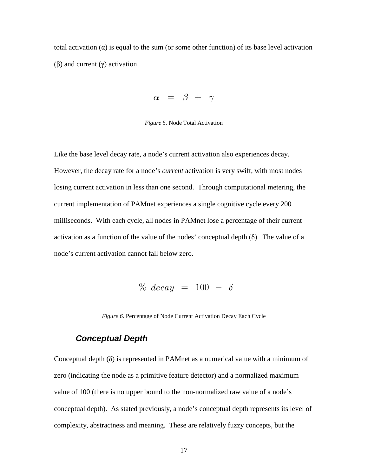total activation  $(a)$  is equal to the sum (or some other function) of its base level activation (β) and current (γ) activation.

$$
\alpha = \beta + \gamma
$$

*Figure 5.* Node Total Activation

Like the base level decay rate, a node's current activation also experiences decay. However, the decay rate for a node's *current* activation is very swift, with most nodes losing current activation in less than one second. Through computational metering, the current implementation of PAMnet experiences a single cognitive cycle every 200 milliseconds. With each cycle, all nodes in PAMnet lose a percentage of their current activation as a function of the value of the nodes' conceptual depth  $(\delta)$ . The value of a node's current activation cannot fall below zero.

 $\%$  decay = 100 -  $\delta$ 

*Figure 6.* Percentage of Node Current Activation Decay Each Cycle

#### **Conceptual Depth**

Conceptual depth  $(\delta)$  is represented in PAMnet as a numerical value with a minimum of zero (indicating the node as a primitive feature detector) and a normalized maximum value of 100 (there is no upper bound to the non-normalized raw value of a node's conceptual depth). As stated previously, a node's conceptual depth represents its level of complexity, abstractness and meaning. These are relatively fuzzy concepts, but the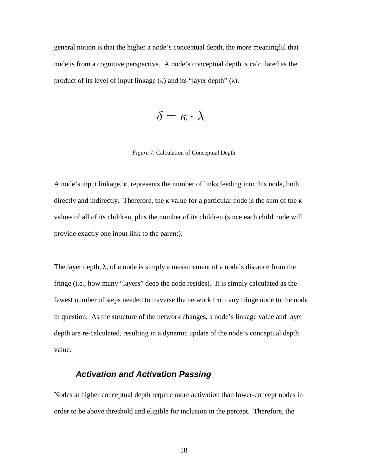general notion is that the higher a node's conceptual depth, the more meaningful that node is from a cognitive perspective. A node's conceptual depth is calculated as the product of its level of input linkage  $(\kappa)$  and its "layer depth"  $(\lambda)$ .

$$
\delta = \kappa \cdot \lambda
$$

#### *Figure 7.* Calculation of Conceptual Depth

A node's input linkage, κ, represents the number of links feeding into this node, both directly and indirectly. Therefore, the κ value for a particular node is the sum of the κ values of all of its children, plus the number of its children (since each child node will provide exactly one input link to the parent).

The layer depth,  $\lambda$ , of a node is simply a measurement of a node's distance from the fringe (i.e., how many "layers" deep the node resides). It is simply calculated as the fewest number of steps needed to traverse the network from any fringe node to the node in question. As the structure of the network changes, a node's linkage value and layer depth are re-calculated, resulting in a dynamic update of the node's conceptual depth value.

## **Activation and Activation Passing**

Nodes at higher conceptual depth require more activation than lower-concept nodes in order to be above threshold and eligible for inclusion in the percept. Therefore, the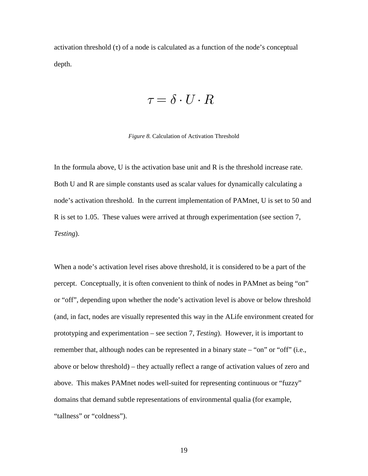activation threshold (τ) of a node is calculated as a function of the node's conceptual depth.

$$
\tau = \delta \cdot U \cdot R
$$

#### *Figure 8.* Calculation of Activation Threshold

In the formula above, U is the activation base unit and R is the threshold increase rate. Both U and R are simple constants used as scalar values for dynamically calculating a node's activation threshold. In the current implementation of PAMnet, U is set to 50 and R is set to 1.05. These values were arrived at through experimentation (see section 7, *Testing*).

When a node's activation level rises above threshold, it is considered to be a part of the percept. Conceptually, it is often convenient to think of nodes in PAMnet as being "on" or "off", depending upon whether the node's activation level is above or below threshold (and, in fact, nodes are visually represented this way in the ALife environment created for prototyping and experimentation – see section 7, *Testing*). However, it is important to remember that, although nodes can be represented in a binary state – "on" or "off" (i.e., above or below threshold) – they actually reflect a range of activation values of zero and above. This makes PAMnet nodes well-suited for representing continuous or "fuzzy" domains that demand subtle representations of environmental qualia (for example, "tallness" or "coldness").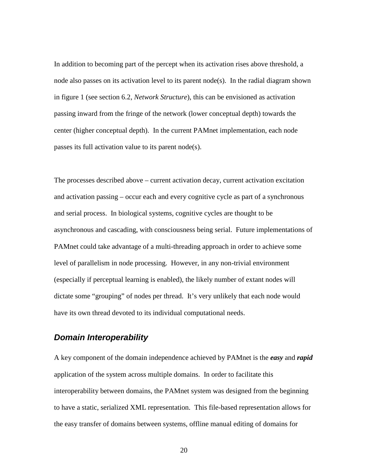In addition to becoming part of the percept when its activation rises above threshold, a node also passes on its activation level to its parent node(s). In the radial diagram shown in figure 1 (see section 6.2, *Network Structure*), this can be envisioned as activation passing inward from the fringe of the network (lower conceptual depth) towards the center (higher conceptual depth). In the current PAMnet implementation, each node passes its full activation value to its parent node(s).

The processes described above – current activation decay, current activation excitation and activation passing – occur each and every cognitive cycle as part of a synchronous and serial process. In biological systems, cognitive cycles are thought to be asynchronous and cascading, with consciousness being serial. Future implementations of PAMnet could take advantage of a multi-threading approach in order to achieve some level of parallelism in node processing. However, in any non-trivial environment (especially if perceptual learning is enabled), the likely number of extant nodes will dictate some "grouping" of nodes per thread. It's very unlikely that each node would have its own thread devoted to its individual computational needs.

#### **Domain Interoperability**

A key component of the domain independence achieved by PAMnet is the *easy* and *rapid* application of the system across multiple domains. In order to facilitate this interoperability between domains, the PAMnet system was designed from the beginning to have a static, serialized XML representation. This file-based representation allows for the easy transfer of domains between systems, offline manual editing of domains for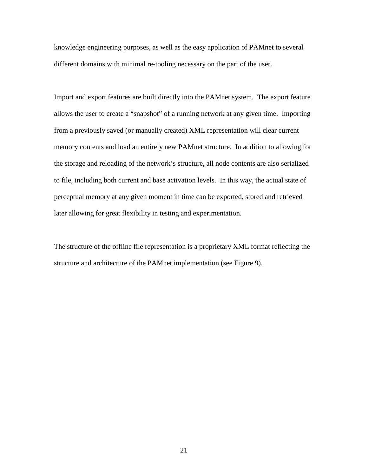knowledge engineering purposes, as well as the easy application of PAMnet to several different domains with minimal re-tooling necessary on the part of the user.

Import and export features are built directly into the PAMnet system. The export feature allows the user to create a "snapshot" of a running network at any given time. Importing from a previously saved (or manually created) XML representation will clear current memory contents and load an entirely new PAMnet structure. In addition to allowing for the storage and reloading of the network's structure, all node contents are also serialized to file, including both current and base activation levels. In this way, the actual state of perceptual memory at any given moment in time can be exported, stored and retrieved later allowing for great flexibility in testing and experimentation.

The structure of the offline file representation is a proprietary XML format reflecting the structure and architecture of the PAMnet implementation (see Figure 9).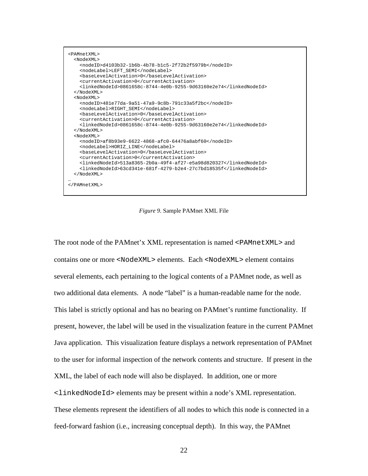```
<PAMnetXML> 
   <NodeXML> 
     <nodeID>d4103b32-1b6b-4b78-b1c5-2f72b2f5979b</nodeID> 
     <nodeLabel>LEFT_SEMI</nodeLabel> 
     <baseLevelActivation>0</baseLevelActivation> 
     <currentActivation>0</currentActivation> 
     <linkedNodeId>0861658c-8744-4e0b-9255-9d63160e2e74</linkedNodeId> 
   </NodeXML> 
   <NodeXML> 
     <nodeID>481e77da-9a51-47a9-9c8b-791c33a5f2bc</nodeID> 
     <nodeLabel>RIGHT_SEMI</nodeLabel> 
     <baseLevelActivation>0</baseLevelActivation> 
     <currentActivation>0</currentActivation> 
     <linkedNodeId>0861658c-8744-4e0b-9255-9d63160e2e74</linkedNodeId> 
   </NodeXML> 
   <NodeXML> 
     <nodeID>af8b93e9-6622-4868-afc0-64476a8abf60</nodeID> 
     <nodeLabel>HORIZ_LINE</nodeLabel> 
     <baseLevelActivation>0</baseLevelActivation> 
     <currentActivation>0</currentActivation> 
     <linkedNodeId>513a8365-2b0a-49f4-af27-e5a98d820327</linkedNodeId> 
     <linkedNodeId>63cd341e-681f-4279-b2e4-27c7bd18535f</linkedNodeId> 
   </NodeXML> 
… 
</PAMnetXML>
```
*Figure 9.* Sample PAMnet XML File

The root node of the PAMnet'x XML representation is named <PAMnetXML> and contains one or more <NodeXML> elements. Each <NodeXML> element contains several elements, each pertaining to the logical contents of a PAMnet node, as well as two additional data elements. A node "label" is a human-readable name for the node. This label is strictly optional and has no bearing on PAMnet's runtime functionality. If present, however, the label will be used in the visualization feature in the current PAMnet Java application. This visualization feature displays a network representation of PAMnet to the user for informal inspection of the network contents and structure. If present in the XML, the label of each node will also be displayed. In addition, one or more <linkedNodeId> elements may be present within a node's XML representation. These elements represent the identifiers of all nodes to which this node is connected in a feed-forward fashion (i.e., increasing conceptual depth). In this way, the PAMnet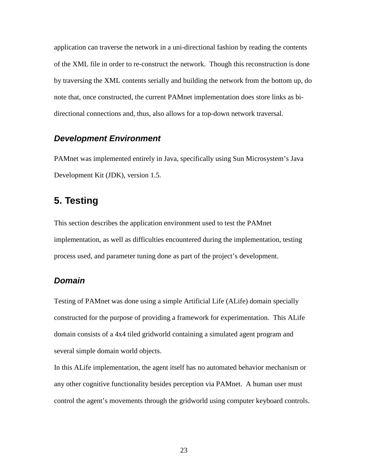application can traverse the network in a uni-directional fashion by reading the contents of the XML file in order to re-construct the network. Though this reconstruction is done by traversing the XML contents serially and building the network from the bottom up, do note that, once constructed, the current PAMnet implementation does store links as bidirectional connections and, thus, also allows for a top-down network traversal.

### **Development Environment**

PAMnet was implemented entirely in Java, specifically using Sun Microsystem's Java Development Kit (JDK), version 1.5.

## **5. Testing**

This section describes the application environment used to test the PAMnet implementation, as well as difficulties encountered during the implementation, testing process used, and parameter tuning done as part of the project's development.

#### **Domain**

Testing of PAMnet was done using a simple Artificial Life (ALife) domain specially constructed for the purpose of providing a framework for experimentation. This ALife domain consists of a 4x4 tiled gridworld containing a simulated agent program and several simple domain world objects.

In this ALife implementation, the agent itself has no automated behavior mechanism or any other cognitive functionality besides perception via PAMnet. A human user must control the agent's movements through the gridworld using computer keyboard controls.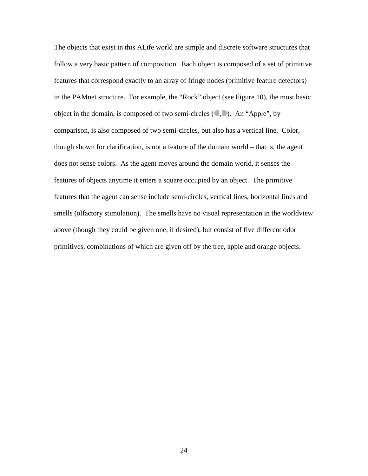The objects that exist in this ALife world are simple and discrete software structures that follow a very basic pattern of composition. Each object is composed of a set of primitive features that correspond exactly to an array of fringe nodes (primitive feature detectors) in the PAMnet structure. For example, the "Rock" object (see Figure 10), the most basic object in the domain, is composed of two semi-circles  $(\bullet, \bullet)$ . An "Apple", by comparison, is also composed of two semi-circles, but also has a vertical line. Color, though shown for clarification, is not a feature of the domain world – that is, the agent does not sense colors. As the agent moves around the domain world, it senses the features of objects anytime it enters a square occupied by an object. The primitive features that the agent can sense include semi-circles, vertical lines, horizontal lines and smells (olfactory stimulation). The smells have no visual representation in the worldview above (though they could be given one, if desired), but consist of five different odor primitives, combinations of which are given off by the tree, apple and orange objects.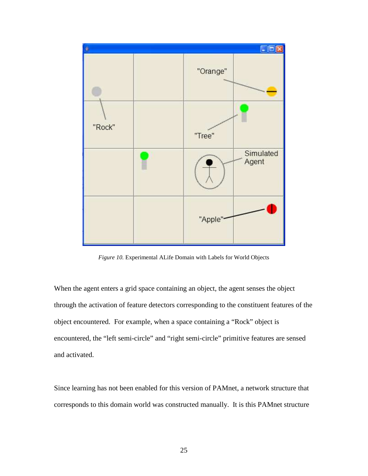

*Figure 10.* Experimental ALife Domain with Labels for World Objects

When the agent enters a grid space containing an object, the agent senses the object through the activation of feature detectors corresponding to the constituent features of the object encountered. For example, when a space containing a "Rock" object is encountered, the "left semi-circle" and "right semi-circle" primitive features are sensed and activated.

Since learning has not been enabled for this version of PAMnet, a network structure that corresponds to this domain world was constructed manually. It is this PAMnet structure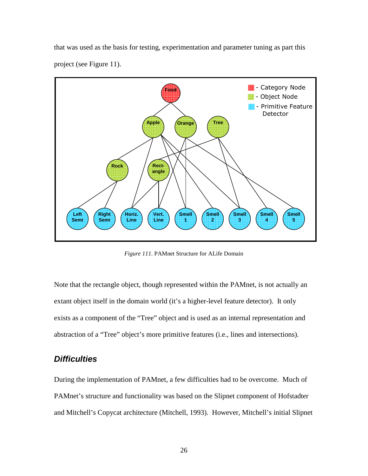that was used as the basis for testing, experimentation and parameter tuning as part this project (see Figure 11).



*Figure 111.* PAMnet Structure for ALife Domain

Note that the rectangle object, though represented within the PAMnet, is not actually an extant object itself in the domain world (it's a higher-level feature detector). It only exists as a component of the "Tree" object and is used as an internal representation and abstraction of a "Tree" object's more primitive features (i.e., lines and intersections).

## **Difficulties**

During the implementation of PAMnet, a few difficulties had to be overcome. Much of PAMnet's structure and functionality was based on the Slipnet component of Hofstadter and Mitchell's Copycat architecture (Mitchell, 1993). However, Mitchell's initial Slipnet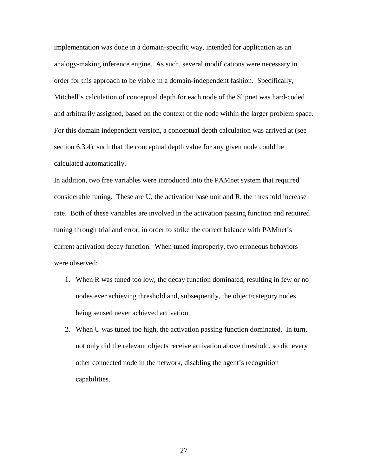implementation was done in a domain-specific way, intended for application as an analogy-making inference engine. As such, several modifications were necessary in order for this approach to be viable in a domain-independent fashion. Specifically, Mitchell's calculation of conceptual depth for each node of the Slipnet was hard-coded and arbitrarily assigned, based on the context of the node within the larger problem space. For this domain independent version, a conceptual depth calculation was arrived at (see section 6.3.4), such that the conceptual depth value for any given node could be calculated automatically.

In addition, two free variables were introduced into the PAMnet system that required considerable tuning. These are U, the activation base unit and R, the threshold increase rate. Both of these variables are involved in the activation passing function and required tuning through trial and error, in order to strike the correct balance with PAMnet's current activation decay function. When tuned improperly, two erroneous behaviors were observed:

- 1. When R was tuned too low, the decay function dominated, resulting in few or no nodes ever achieving threshold and, subsequently, the object/category nodes being sensed never achieved activation.
- 2. When U was tuned too high, the activation passing function dominated. In turn, not only did the relevant objects receive activation above threshold, so did every other connected node in the network, disabling the agent's recognition capabilities.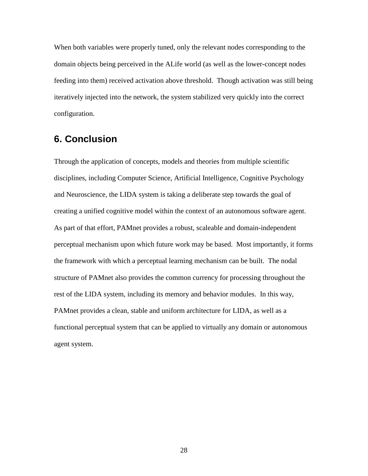When both variables were properly tuned, only the relevant nodes corresponding to the domain objects being perceived in the ALife world (as well as the lower-concept nodes feeding into them) received activation above threshold. Though activation was still being iteratively injected into the network, the system stabilized very quickly into the correct configuration.

## **6. Conclusion**

Through the application of concepts, models and theories from multiple scientific disciplines, including Computer Science, Artificial Intelligence, Cognitive Psychology and Neuroscience, the LIDA system is taking a deliberate step towards the goal of creating a unified cognitive model within the context of an autonomous software agent. As part of that effort, PAMnet provides a robust, scaleable and domain-independent perceptual mechanism upon which future work may be based. Most importantly, it forms the framework with which a perceptual learning mechanism can be built. The nodal structure of PAMnet also provides the common currency for processing throughout the rest of the LIDA system, including its memory and behavior modules. In this way, PAMnet provides a clean, stable and uniform architecture for LIDA, as well as a functional perceptual system that can be applied to virtually any domain or autonomous agent system.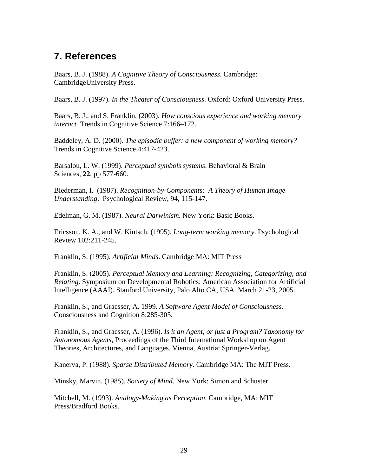# **7. References**

Baars, B. J. (1988). *A Cognitive Theory of Consciousness*. Cambridge: CambridgeUniversity Press.

Baars, B. J. (1997). *In the Theater of Consciousness*. Oxford: Oxford University Press.

Baars, B. J., and S. Franklin. (2003). *How conscious experience and working memory interact.* Trends in Cognitive Science 7:166–172.

Baddeley, A. D. (2000). *The episodic buffer: a new component of working memory?* Trends in Cognitive Science 4:417-423.

Barsalou, L. W. (1999). *Perceptual symbols systems*. Behavioral & Brain Sciences, **22**, pp 577-660.

Biederman, I. (1987). *Recognition-by-Components: A Theory of Human Image Understanding*. Psychological Review, 94, 115-147.

Edelman, G. M. (1987). *Neural Darwinism*. New York: Basic Books.

Ericsson, K. A., and W. Kintsch. (1995). *Long-term working memory*. Psychological Review 102:211-245.

Franklin, S. (1995). *Artificial Minds*. Cambridge MA: MIT Press

Franklin, S. (2005). *Perceptual Memory and Learning: Recognizing, Categorizing, and Relating*. Symposium on Developmental Robotics; American Association for Artificial Intelligence (AAAI). Stanford University, Palo Alto CA, USA. March 21-23, 2005.

Franklin, S., and Graesser, A. 1999. *A Software Agent Model of Consciousness.* Consciousness and Cognition 8:285-305.

Franklin, S., and Graesser, A. (1996). *Is it an Agent, or just a Program? Taxonomy for Autonomous Agents*, Proceedings of the Third International Workshop on Agent Theories, Architectures, and Languages. Vienna, Austria: Springer-Verlag.

Kanerva, P. (1988). *Sparse Distributed Memory*. Cambridge MA: The MIT Press.

Minsky, Marvin. (1985). *Society of Mind*. New York: Simon and Schuster.

Mitchell, M. (1993). *Analogy-Making as Perception*. Cambridge, MA: MIT Press/Bradford Books.